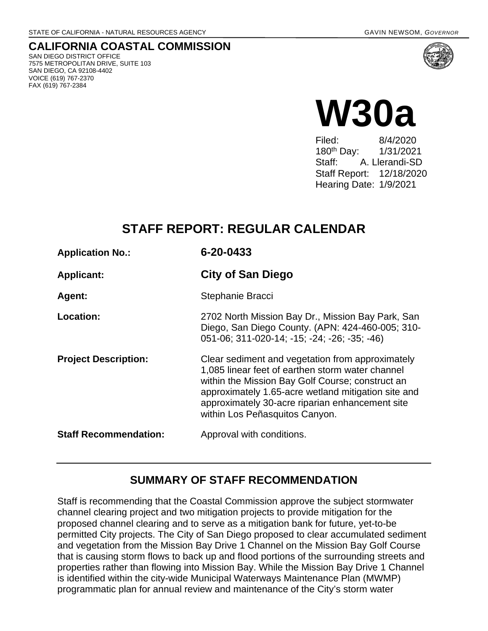**CALIFORNIA COASTAL COMMISSION** SAN DIEGO DISTRICT OFFICE 7575 METROPOLITAN DRIVE, SUITE 103 SAN DIEGO, CA 92108-4402 VOICE (619) 767-2370 FAX (619) 767-2384



8/4/2020 180th Day: 1/31/2021 Staff: A. Llerandi-SD Staff Report: 12/18/2020 Hearing Date: 1/9/2021

# **STAFF REPORT: REGULAR CALENDAR**

| <b>Application No.:</b>      | 6-20-0433                                                                                                                                                                                                                                                                                            |  |
|------------------------------|------------------------------------------------------------------------------------------------------------------------------------------------------------------------------------------------------------------------------------------------------------------------------------------------------|--|
| <b>Applicant:</b>            | <b>City of San Diego</b>                                                                                                                                                                                                                                                                             |  |
| Agent:                       | Stephanie Bracci                                                                                                                                                                                                                                                                                     |  |
| Location:                    | 2702 North Mission Bay Dr., Mission Bay Park, San<br>Diego, San Diego County. (APN: 424-460-005; 310-<br>051-06; 311-020-14; -15; -24; -26; -35; -46)                                                                                                                                                |  |
| <b>Project Description:</b>  | Clear sediment and vegetation from approximately<br>1,085 linear feet of earthen storm water channel<br>within the Mission Bay Golf Course; construct an<br>approximately 1.65-acre wetland mitigation site and<br>approximately 30-acre riparian enhancement site<br>within Los Peñasquitos Canyon. |  |
| <b>Staff Recommendation:</b> | Approval with conditions.                                                                                                                                                                                                                                                                            |  |

# **SUMMARY OF STAFF RECOMMENDATION**

Staff is recommending that the Coastal Commission approve the subject stormwater channel clearing project and two mitigation projects to provide mitigation for the proposed channel clearing and to serve as a mitigation bank for future, yet-to-be permitted City projects. The City of San Diego proposed to clear accumulated sediment and vegetation from the Mission Bay Drive 1 Channel on the Mission Bay Golf Course that is causing storm flows to back up and flood portions of the surrounding streets and properties rather than flowing into Mission Bay. While the Mission Bay Drive 1 Channel is identified within the city-wide Municipal Waterways Maintenance Plan (MWMP) programmatic plan for annual review and maintenance of the City's storm water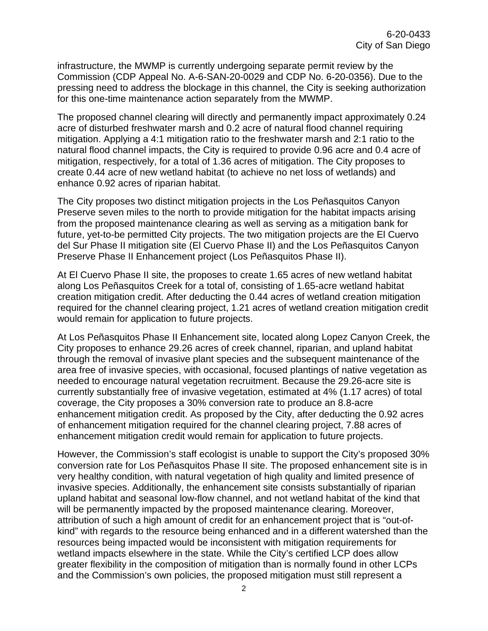infrastructure, the MWMP is currently undergoing separate permit review by the Commission (CDP Appeal No. A-6-SAN-20-0029 and CDP No. 6-20-0356). Due to the pressing need to address the blockage in this channel, the City is seeking authorization for this one-time maintenance action separately from the MWMP.

The proposed channel clearing will directly and permanently impact approximately 0.24 acre of disturbed freshwater marsh and 0.2 acre of natural flood channel requiring mitigation. Applying a 4:1 mitigation ratio to the freshwater marsh and 2:1 ratio to the natural flood channel impacts, the City is required to provide 0.96 acre and 0.4 acre of mitigation, respectively, for a total of 1.36 acres of mitigation. The City proposes to create 0.44 acre of new wetland habitat (to achieve no net loss of wetlands) and enhance 0.92 acres of riparian habitat.

The City proposes two distinct mitigation projects in the Los Peñasquitos Canyon Preserve seven miles to the north to provide mitigation for the habitat impacts arising from the proposed maintenance clearing as well as serving as a mitigation bank for future, yet-to-be permitted City projects. The two mitigation projects are the El Cuervo del Sur Phase II mitigation site (El Cuervo Phase II) and the Los Peñasquitos Canyon Preserve Phase II Enhancement project (Los Peñasquitos Phase II).

At El Cuervo Phase II site, the proposes to create 1.65 acres of new wetland habitat along Los Peñasquitos Creek for a total of, consisting of 1.65-acre wetland habitat creation mitigation credit. After deducting the 0.44 acres of wetland creation mitigation required for the channel clearing project, 1.21 acres of wetland creation mitigation credit would remain for application to future projects.

At Los Peñasquitos Phase II Enhancement site, located along Lopez Canyon Creek, the City proposes to enhance 29.26 acres of creek channel, riparian, and upland habitat through the removal of invasive plant species and the subsequent maintenance of the area free of invasive species, with occasional, focused plantings of native vegetation as needed to encourage natural vegetation recruitment. Because the 29.26-acre site is currently substantially free of invasive vegetation, estimated at 4% (1.17 acres) of total coverage, the City proposes a 30% conversion rate to produce an 8.8-acre enhancement mitigation credit. As proposed by the City, after deducting the 0.92 acres of enhancement mitigation required for the channel clearing project, 7.88 acres of enhancement mitigation credit would remain for application to future projects.

However, the Commission's staff ecologist is unable to support the City's proposed 30% conversion rate for Los Peñasquitos Phase II site. The proposed enhancement site is in very healthy condition, with natural vegetation of high quality and limited presence of invasive species. Additionally, the enhancement site consists substantially of riparian upland habitat and seasonal low-flow channel, and not wetland habitat of the kind that will be permanently impacted by the proposed maintenance clearing. Moreover, attribution of such a high amount of credit for an enhancement project that is "out-ofkind" with regards to the resource being enhanced and in a different watershed than the resources being impacted would be inconsistent with mitigation requirements for wetland impacts elsewhere in the state. While the City's certified LCP does allow greater flexibility in the composition of mitigation than is normally found in other LCPs and the Commission's own policies, the proposed mitigation must still represent a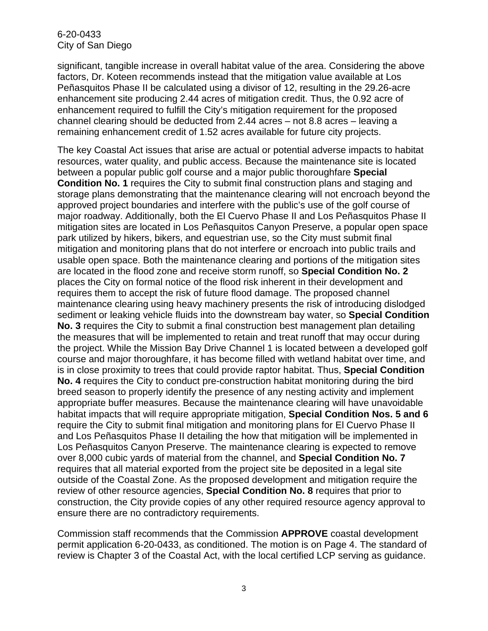significant, tangible increase in overall habitat value of the area. Considering the above factors, Dr. Koteen recommends instead that the mitigation value available at Los Peñasquitos Phase II be calculated using a divisor of 12, resulting in the 29.26-acre enhancement site producing 2.44 acres of mitigation credit. Thus, the 0.92 acre of enhancement required to fulfill the City's mitigation requirement for the proposed channel clearing should be deducted from 2.44 acres – not 8.8 acres – leaving a remaining enhancement credit of 1.52 acres available for future city projects.

The key Coastal Act issues that arise are actual or potential adverse impacts to habitat resources, water quality, and public access. Because the maintenance site is located between a popular public golf course and a major public thoroughfare **Special Condition No. 1** requires the City to submit final construction plans and staging and storage plans demonstrating that the maintenance clearing will not encroach beyond the approved project boundaries and interfere with the public's use of the golf course of major roadway. Additionally, both the El Cuervo Phase II and Los Peñasquitos Phase II mitigation sites are located in Los Peñasquitos Canyon Preserve, a popular open space park utilized by hikers, bikers, and equestrian use, so the City must submit final mitigation and monitoring plans that do not interfere or encroach into public trails and usable open space. Both the maintenance clearing and portions of the mitigation sites are located in the flood zone and receive storm runoff, so **Special Condition No. 2** places the City on formal notice of the flood risk inherent in their development and requires them to accept the risk of future flood damage. The proposed channel maintenance clearing using heavy machinery presents the risk of introducing dislodged sediment or leaking vehicle fluids into the downstream bay water, so **Special Condition No. 3** requires the City to submit a final construction best management plan detailing the measures that will be implemented to retain and treat runoff that may occur during the project. While the Mission Bay Drive Channel 1 is located between a developed golf course and major thoroughfare, it has become filled with wetland habitat over time, and is in close proximity to trees that could provide raptor habitat. Thus, **Special Condition No. 4** requires the City to conduct pre-construction habitat monitoring during the bird breed season to properly identify the presence of any nesting activity and implement appropriate buffer measures. Because the maintenance clearing will have unavoidable habitat impacts that will require appropriate mitigation, **Special Condition Nos. 5 and 6** require the City to submit final mitigation and monitoring plans for El Cuervo Phase II and Los Peñasquitos Phase II detailing the how that mitigation will be implemented in Los Peñasquitos Canyon Preserve. The maintenance clearing is expected to remove over 8,000 cubic yards of material from the channel, and **Special Condition No. 7** requires that all material exported from the project site be deposited in a legal site outside of the Coastal Zone. As the proposed development and mitigation require the review of other resource agencies, **Special Condition No. 8** requires that prior to construction, the City provide copies of any other required resource agency approval to ensure there are no contradictory requirements.

Commission staff recommends that the Commission **APPROVE** coastal development permit application 6-20-0433, as conditioned. The motion is on Page 4. The standard of review is Chapter 3 of the Coastal Act, with the local certified LCP serving as guidance.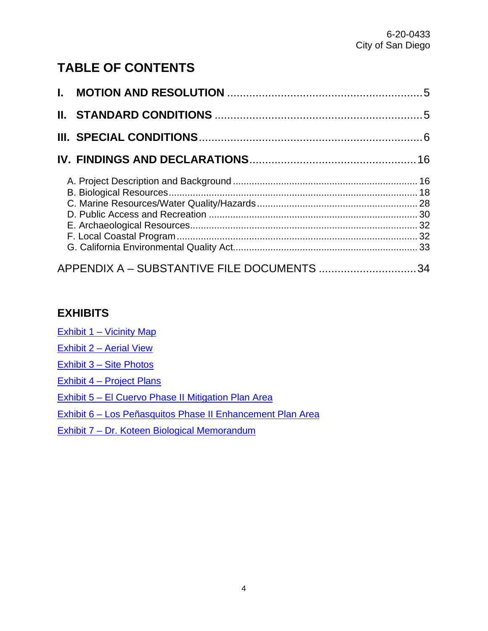# **TABLE OF CONTENTS**

| APPENDIX A - SUBSTANTIVE FILE DOCUMENTS 34 |  |
|--------------------------------------------|--|

### **EXHIBITS**

Exhibit [1 – Vicinity Map](https://documents.coastal.ca.gov/reports/2021/1/W30a/W30a-1-2021-exhibits.pdf)

- Exhibit [2 Aerial View](https://documents.coastal.ca.gov/reports/2021/1/W30a/W30a-1-2021-exhibits.pdf)
- Exhibit [3 Site Photos](https://documents.coastal.ca.gov/reports/2021/1/W30a/W30a-1-2021-exhibits.pdf)

Exhibit [4 – Project Plans](https://documents.coastal.ca.gov/reports/2021/1/W30a/W30a-1-2021-exhibits.pdf)

[Exhibit 5 – El Cuervo Phase II Mitigation Plan](https://documents.coastal.ca.gov/reports/2021/1/W30a/W30a-1-2021-exhibits.pdf) Area

[Exhibit 6 – Los Peñasquitos Phase II Enhancement Plan](https://documents.coastal.ca.gov/reports/2021/1/W30a/W30a-1-2021-exhibits.pdf) Area

[Exhibit 7 – Dr. Koteen Biological Memorandum](https://documents.coastal.ca.gov/reports/2021/1/W30a/W30a-1-2021-exhibits.pdf)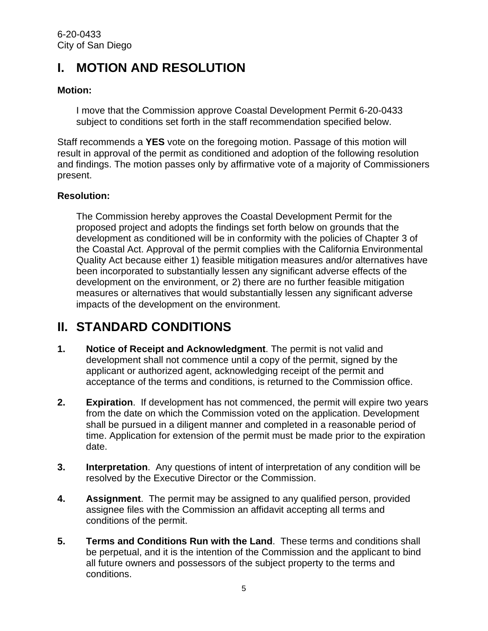# <span id="page-4-0"></span>**I. MOTION AND RESOLUTION**

#### **Motion:**

I move that the Commission approve Coastal Development Permit 6-20-0433 subject to conditions set forth in the staff recommendation specified below.

Staff recommends a **YES** vote on the foregoing motion. Passage of this motion will result in approval of the permit as conditioned and adoption of the following resolution and findings. The motion passes only by affirmative vote of a majority of Commissioners present.

#### **Resolution:**

The Commission hereby approves the Coastal Development Permit for the proposed project and adopts the findings set forth below on grounds that the development as conditioned will be in conformity with the policies of Chapter 3 of the Coastal Act. Approval of the permit complies with the California Environmental Quality Act because either 1) feasible mitigation measures and/or alternatives have been incorporated to substantially lessen any significant adverse effects of the development on the environment, or 2) there are no further feasible mitigation measures or alternatives that would substantially lessen any significant adverse impacts of the development on the environment.

# <span id="page-4-1"></span>**II. STANDARD CONDITIONS**

- **1. Notice of Receipt and Acknowledgment**. The permit is not valid and development shall not commence until a copy of the permit, signed by the applicant or authorized agent, acknowledging receipt of the permit and acceptance of the terms and conditions, is returned to the Commission office.
- **2. Expiration**. If development has not commenced, the permit will expire two years from the date on which the Commission voted on the application. Development shall be pursued in a diligent manner and completed in a reasonable period of time. Application for extension of the permit must be made prior to the expiration date.
- **3. Interpretation**. Any questions of intent of interpretation of any condition will be resolved by the Executive Director or the Commission.
- **4. Assignment**. The permit may be assigned to any qualified person, provided assignee files with the Commission an affidavit accepting all terms and conditions of the permit.
- **5. Terms and Conditions Run with the Land**. These terms and conditions shall be perpetual, and it is the intention of the Commission and the applicant to bind all future owners and possessors of the subject property to the terms and conditions.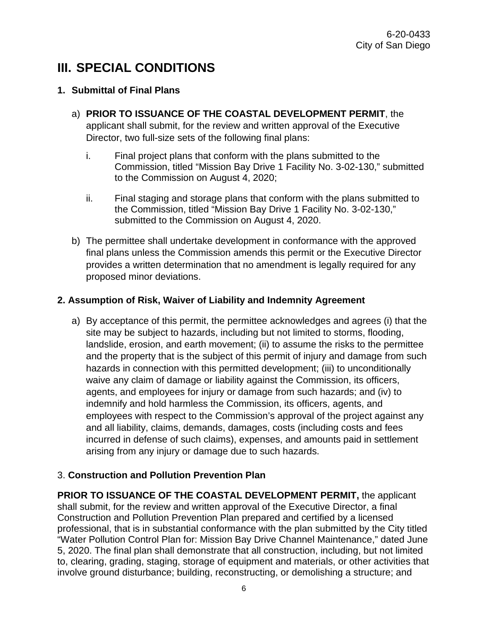# <span id="page-5-0"></span>**III. SPECIAL CONDITIONS**

#### **1. Submittal of Final Plans**

- a) **PRIOR TO ISSUANCE OF THE COASTAL DEVELOPMENT PERMIT**, the applicant shall submit, for the review and written approval of the Executive Director, two full-size sets of the following final plans:
	- i. Final project plans that conform with the plans submitted to the Commission, titled "Mission Bay Drive 1 Facility No. 3-02-130," submitted to the Commission on August 4, 2020;
	- ii. Final staging and storage plans that conform with the plans submitted to the Commission, titled "Mission Bay Drive 1 Facility No. 3-02-130," submitted to the Commission on August 4, 2020.
- b) The permittee shall undertake development in conformance with the approved final plans unless the Commission amends this permit or the Executive Director provides a written determination that no amendment is legally required for any proposed minor deviations.

#### **2. Assumption of Risk, Waiver of Liability and Indemnity Agreement**

a) By acceptance of this permit, the permittee acknowledges and agrees (i) that the site may be subject to hazards, including but not limited to storms, flooding, landslide, erosion, and earth movement; (ii) to assume the risks to the permittee and the property that is the subject of this permit of injury and damage from such hazards in connection with this permitted development; (iii) to unconditionally waive any claim of damage or liability against the Commission, its officers, agents, and employees for injury or damage from such hazards; and (iv) to indemnify and hold harmless the Commission, its officers, agents, and employees with respect to the Commission's approval of the project against any and all liability, claims, demands, damages, costs (including costs and fees incurred in defense of such claims), expenses, and amounts paid in settlement arising from any injury or damage due to such hazards.

#### 3. **Construction and Pollution Prevention Plan**

**PRIOR TO ISSUANCE OF THE COASTAL DEVELOPMENT PERMIT,** the applicant shall submit, for the review and written approval of the Executive Director, a final Construction and Pollution Prevention Plan prepared and certified by a licensed professional, that is in substantial conformance with the plan submitted by the City titled "Water Pollution Control Plan for: Mission Bay Drive Channel Maintenance," dated June 5, 2020. The final plan shall demonstrate that all construction, including, but not limited to, clearing, grading, staging, storage of equipment and materials, or other activities that involve ground disturbance; building, reconstructing, or demolishing a structure; and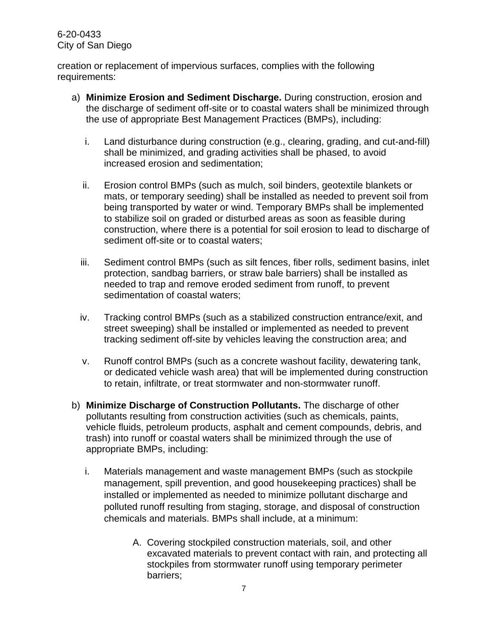creation or replacement of impervious surfaces, complies with the following requirements:

- a) **Minimize Erosion and Sediment Discharge.** During construction, erosion and the discharge of sediment off-site or to coastal waters shall be minimized through the use of appropriate Best Management Practices (BMPs), including:
	- i. Land disturbance during construction (e.g., clearing, grading, and cut-and-fill) shall be minimized, and grading activities shall be phased, to avoid increased erosion and sedimentation;
	- ii. Erosion control BMPs (such as mulch, soil binders, geotextile blankets or mats, or temporary seeding) shall be installed as needed to prevent soil from being transported by water or wind. Temporary BMPs shall be implemented to stabilize soil on graded or disturbed areas as soon as feasible during construction, where there is a potential for soil erosion to lead to discharge of sediment off-site or to coastal waters;
	- iii. Sediment control BMPs (such as silt fences, fiber rolls, sediment basins, inlet protection, sandbag barriers, or straw bale barriers) shall be installed as needed to trap and remove eroded sediment from runoff, to prevent sedimentation of coastal waters;
	- iv. Tracking control BMPs (such as a stabilized construction entrance/exit, and street sweeping) shall be installed or implemented as needed to prevent tracking sediment off-site by vehicles leaving the construction area; and
	- v. Runoff control BMPs (such as a concrete washout facility, dewatering tank, or dedicated vehicle wash area) that will be implemented during construction to retain, infiltrate, or treat stormwater and non-stormwater runoff.
- b) **Minimize Discharge of Construction Pollutants.** The discharge of other pollutants resulting from construction activities (such as chemicals, paints, vehicle fluids, petroleum products, asphalt and cement compounds, debris, and trash) into runoff or coastal waters shall be minimized through the use of appropriate BMPs, including:
	- i. Materials management and waste management BMPs (such as stockpile management, spill prevention, and good housekeeping practices) shall be installed or implemented as needed to minimize pollutant discharge and polluted runoff resulting from staging, storage, and disposal of construction chemicals and materials. BMPs shall include, at a minimum:
		- A. Covering stockpiled construction materials, soil, and other excavated materials to prevent contact with rain, and protecting all stockpiles from stormwater runoff using temporary perimeter barriers;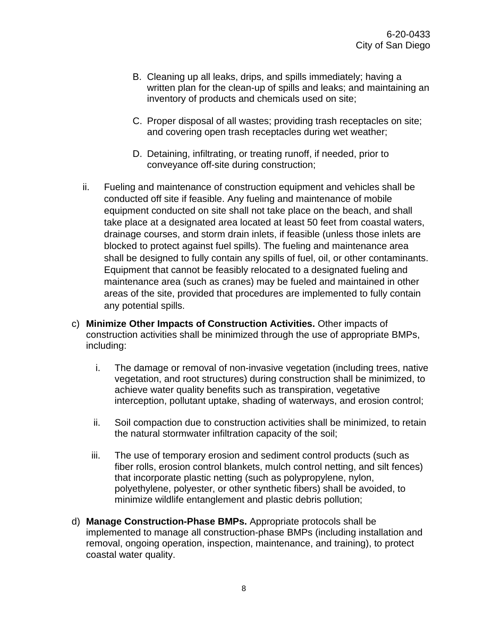- B. Cleaning up all leaks, drips, and spills immediately; having a written plan for the clean-up of spills and leaks; and maintaining an inventory of products and chemicals used on site;
- C. Proper disposal of all wastes; providing trash receptacles on site; and covering open trash receptacles during wet weather;
- D. Detaining, infiltrating, or treating runoff, if needed, prior to conveyance off-site during construction;
- ii. Fueling and maintenance of construction equipment and vehicles shall be conducted off site if feasible. Any fueling and maintenance of mobile equipment conducted on site shall not take place on the beach, and shall take place at a designated area located at least 50 feet from coastal waters, drainage courses, and storm drain inlets, if feasible (unless those inlets are blocked to protect against fuel spills). The fueling and maintenance area shall be designed to fully contain any spills of fuel, oil, or other contaminants. Equipment that cannot be feasibly relocated to a designated fueling and maintenance area (such as cranes) may be fueled and maintained in other areas of the site, provided that procedures are implemented to fully contain any potential spills.
- c) **Minimize Other Impacts of Construction Activities.** Other impacts of construction activities shall be minimized through the use of appropriate BMPs, including:
	- i. The damage or removal of non-invasive vegetation (including trees, native vegetation, and root structures) during construction shall be minimized, to achieve water quality benefits such as transpiration, vegetative interception, pollutant uptake, shading of waterways, and erosion control;
	- ii. Soil compaction due to construction activities shall be minimized, to retain the natural stormwater infiltration capacity of the soil;
	- iii. The use of temporary erosion and sediment control products (such as fiber rolls, erosion control blankets, mulch control netting, and silt fences) that incorporate plastic netting (such as polypropylene, nylon, polyethylene, polyester, or other synthetic fibers) shall be avoided, to minimize wildlife entanglement and plastic debris pollution;
- d) **Manage Construction-Phase BMPs.** Appropriate protocols shall be implemented to manage all construction-phase BMPs (including installation and removal, ongoing operation, inspection, maintenance, and training), to protect coastal water quality.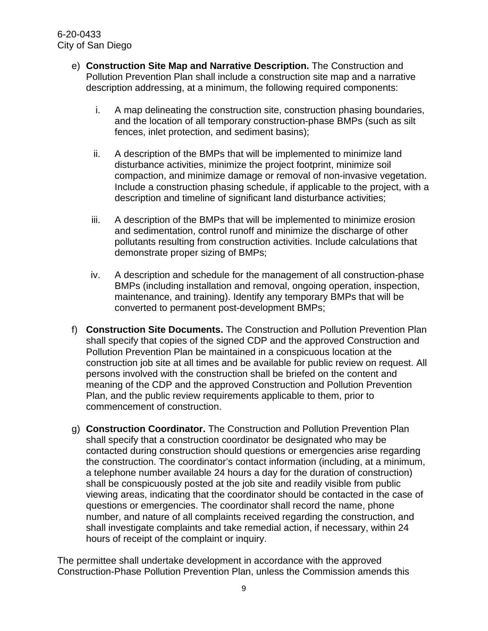- e) **Construction Site Map and Narrative Description.** The Construction and Pollution Prevention Plan shall include a construction site map and a narrative description addressing, at a minimum, the following required components:
	- i. A map delineating the construction site, construction phasing boundaries, and the location of all temporary construction-phase BMPs (such as silt fences, inlet protection, and sediment basins);
	- ii. A description of the BMPs that will be implemented to minimize land disturbance activities, minimize the project footprint, minimize soil compaction, and minimize damage or removal of non-invasive vegetation. Include a construction phasing schedule, if applicable to the project, with a description and timeline of significant land disturbance activities;
	- iii. A description of the BMPs that will be implemented to minimize erosion and sedimentation, control runoff and minimize the discharge of other pollutants resulting from construction activities. Include calculations that demonstrate proper sizing of BMPs;
	- iv. A description and schedule for the management of all construction-phase BMPs (including installation and removal, ongoing operation, inspection, maintenance, and training). Identify any temporary BMPs that will be converted to permanent post-development BMPs;
- f) **Construction Site Documents.** The Construction and Pollution Prevention Plan shall specify that copies of the signed CDP and the approved Construction and Pollution Prevention Plan be maintained in a conspicuous location at the construction job site at all times and be available for public review on request. All persons involved with the construction shall be briefed on the content and meaning of the CDP and the approved Construction and Pollution Prevention Plan, and the public review requirements applicable to them, prior to commencement of construction.
- g) **Construction Coordinator.** The Construction and Pollution Prevention Plan shall specify that a construction coordinator be designated who may be contacted during construction should questions or emergencies arise regarding the construction. The coordinator's contact information (including, at a minimum, a telephone number available 24 hours a day for the duration of construction) shall be conspicuously posted at the job site and readily visible from public viewing areas, indicating that the coordinator should be contacted in the case of questions or emergencies. The coordinator shall record the name, phone number, and nature of all complaints received regarding the construction, and shall investigate complaints and take remedial action, if necessary, within 24 hours of receipt of the complaint or inquiry.

The permittee shall undertake development in accordance with the approved Construction-Phase Pollution Prevention Plan, unless the Commission amends this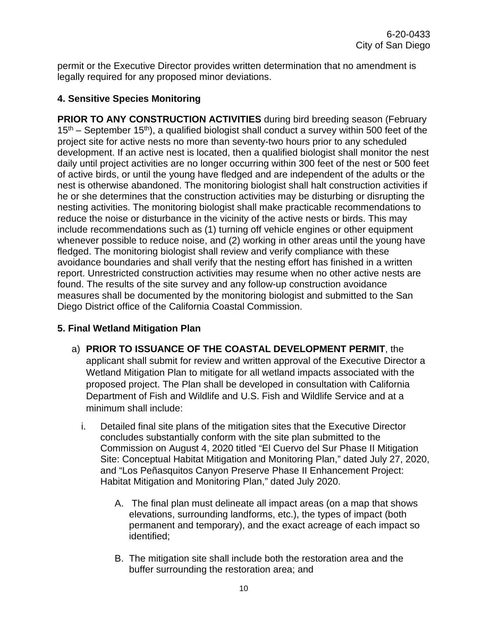permit or the Executive Director provides written determination that no amendment is legally required for any proposed minor deviations.

#### **4. Sensitive Species Monitoring**

**PRIOR TO ANY CONSTRUCTION ACTIVITIES** during bird breeding season (February  $15<sup>th</sup>$  – September 15<sup>th</sup>), a qualified biologist shall conduct a survey within 500 feet of the project site for active nests no more than seventy-two hours prior to any scheduled development. If an active nest is located, then a qualified biologist shall monitor the nest daily until project activities are no longer occurring within 300 feet of the nest or 500 feet of active birds, or until the young have fledged and are independent of the adults or the nest is otherwise abandoned. The monitoring biologist shall halt construction activities if he or she determines that the construction activities may be disturbing or disrupting the nesting activities. The monitoring biologist shall make practicable recommendations to reduce the noise or disturbance in the vicinity of the active nests or birds. This may include recommendations such as (1) turning off vehicle engines or other equipment whenever possible to reduce noise, and (2) working in other areas until the young have fledged. The monitoring biologist shall review and verify compliance with these avoidance boundaries and shall verify that the nesting effort has finished in a written report. Unrestricted construction activities may resume when no other active nests are found. The results of the site survey and any follow-up construction avoidance measures shall be documented by the monitoring biologist and submitted to the San Diego District office of the California Coastal Commission.

#### **5. Final Wetland Mitigation Plan**

- a) **PRIOR TO ISSUANCE OF THE COASTAL DEVELOPMENT PERMIT**, the applicant shall submit for review and written approval of the Executive Director a Wetland Mitigation Plan to mitigate for all wetland impacts associated with the proposed project. The Plan shall be developed in consultation with California Department of Fish and Wildlife and U.S. Fish and Wildlife Service and at a minimum shall include:
	- i. Detailed final site plans of the mitigation sites that the Executive Director concludes substantially conform with the site plan submitted to the Commission on August 4, 2020 titled "El Cuervo del Sur Phase II Mitigation Site: Conceptual Habitat Mitigation and Monitoring Plan," dated July 27, 2020, and "Los Peñasquitos Canyon Preserve Phase II Enhancement Project: Habitat Mitigation and Monitoring Plan," dated July 2020.
		- A. The final plan must delineate all impact areas (on a map that shows elevations, surrounding landforms, etc.), the types of impact (both permanent and temporary), and the exact acreage of each impact so identified;
		- B. The mitigation site shall include both the restoration area and the buffer surrounding the restoration area; and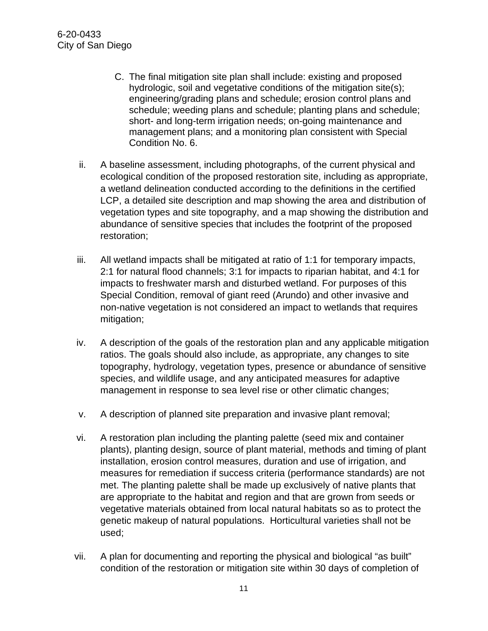- C. The final mitigation site plan shall include: existing and proposed hydrologic, soil and vegetative conditions of the mitigation site(s); engineering/grading plans and schedule; erosion control plans and schedule; weeding plans and schedule; planting plans and schedule; short- and long-term irrigation needs; on-going maintenance and management plans; and a monitoring plan consistent with Special Condition No. 6.
- ii. A baseline assessment, including photographs, of the current physical and ecological condition of the proposed restoration site, including as appropriate, a wetland delineation conducted according to the definitions in the certified LCP, a detailed site description and map showing the area and distribution of vegetation types and site topography, and a map showing the distribution and abundance of sensitive species that includes the footprint of the proposed restoration;
- iii. All wetland impacts shall be mitigated at ratio of 1:1 for temporary impacts, 2:1 for natural flood channels; 3:1 for impacts to riparian habitat, and 4:1 for impacts to freshwater marsh and disturbed wetland. For purposes of this Special Condition, removal of giant reed (Arundo) and other invasive and non-native vegetation is not considered an impact to wetlands that requires mitigation;
- iv. A description of the goals of the restoration plan and any applicable mitigation ratios. The goals should also include, as appropriate, any changes to site topography, hydrology, vegetation types, presence or abundance of sensitive species, and wildlife usage, and any anticipated measures for adaptive management in response to sea level rise or other climatic changes;
- v. A description of planned site preparation and invasive plant removal;
- vi. A restoration plan including the planting palette (seed mix and container plants), planting design, source of plant material, methods and timing of plant installation, erosion control measures, duration and use of irrigation, and measures for remediation if success criteria (performance standards) are not met. The planting palette shall be made up exclusively of native plants that are appropriate to the habitat and region and that are grown from seeds or vegetative materials obtained from local natural habitats so as to protect the genetic makeup of natural populations. Horticultural varieties shall not be used;
- vii. A plan for documenting and reporting the physical and biological "as built" condition of the restoration or mitigation site within 30 days of completion of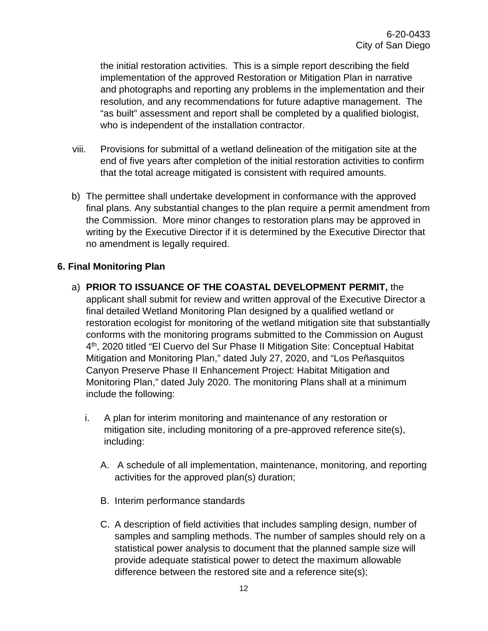the initial restoration activities. This is a simple report describing the field implementation of the approved Restoration or Mitigation Plan in narrative and photographs and reporting any problems in the implementation and their resolution, and any recommendations for future adaptive management. The "as built" assessment and report shall be completed by a qualified biologist, who is independent of the installation contractor.

- viii. Provisions for submittal of a wetland delineation of the mitigation site at the end of five years after completion of the initial restoration activities to confirm that the total acreage mitigated is consistent with required amounts.
- b) The permittee shall undertake development in conformance with the approved final plans. Any substantial changes to the plan require a permit amendment from the Commission. More minor changes to restoration plans may be approved in writing by the Executive Director if it is determined by the Executive Director that no amendment is legally required.

#### **6. Final Monitoring Plan**

- a) **PRIOR TO ISSUANCE OF THE COASTAL DEVELOPMENT PERMIT,** the applicant shall submit for review and written approval of the Executive Director a final detailed Wetland Monitoring Plan designed by a qualified wetland or restoration ecologist for monitoring of the wetland mitigation site that substantially conforms with the monitoring programs submitted to the Commission on August 4th, 2020 titled "El Cuervo del Sur Phase II Mitigation Site: Conceptual Habitat Mitigation and Monitoring Plan," dated July 27, 2020, and "Los Peñasquitos Canyon Preserve Phase II Enhancement Project: Habitat Mitigation and Monitoring Plan," dated July 2020. The monitoring Plans shall at a minimum include the following:
	- i. A plan for interim monitoring and maintenance of any restoration or mitigation site, including monitoring of a pre-approved reference site(s), including:
		- A. A schedule of all implementation, maintenance, monitoring, and reporting activities for the approved plan(s) duration;
		- B. Interim performance standards
		- C. A description of field activities that includes sampling design, number of samples and sampling methods. The number of samples should rely on a statistical power analysis to document that the planned sample size will provide adequate statistical power to detect the maximum allowable difference between the restored site and a reference site(s);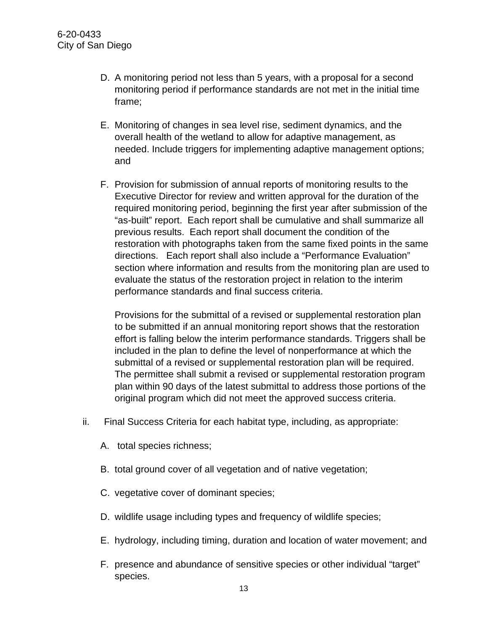- D. A monitoring period not less than 5 years, with a proposal for a second monitoring period if performance standards are not met in the initial time frame;
- E. Monitoring of changes in sea level rise, sediment dynamics, and the overall health of the wetland to allow for adaptive management, as needed. Include triggers for implementing adaptive management options; and
- F. Provision for submission of annual reports of monitoring results to the Executive Director for review and written approval for the duration of the required monitoring period, beginning the first year after submission of the "as-built" report. Each report shall be cumulative and shall summarize all previous results. Each report shall document the condition of the restoration with photographs taken from the same fixed points in the same directions. Each report shall also include a "Performance Evaluation" section where information and results from the monitoring plan are used to evaluate the status of the restoration project in relation to the interim performance standards and final success criteria.

Provisions for the submittal of a revised or supplemental restoration plan to be submitted if an annual monitoring report shows that the restoration effort is falling below the interim performance standards. Triggers shall be included in the plan to define the level of nonperformance at which the submittal of a revised or supplemental restoration plan will be required. The permittee shall submit a revised or supplemental restoration program plan within 90 days of the latest submittal to address those portions of the original program which did not meet the approved success criteria.

- ii. Final Success Criteria for each habitat type, including, as appropriate:
	- A. total species richness;
	- B. total ground cover of all vegetation and of native vegetation;
	- C. vegetative cover of dominant species;
	- D. wildlife usage including types and frequency of wildlife species;
	- E. hydrology, including timing, duration and location of water movement; and
	- F. presence and abundance of sensitive species or other individual "target" species.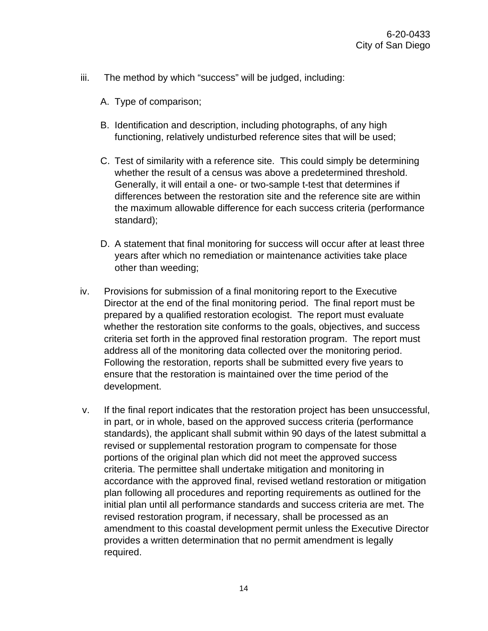- iii. The method by which "success" will be judged, including:
	- A. Type of comparison;
	- B. Identification and description, including photographs, of any high functioning, relatively undisturbed reference sites that will be used;
	- C. Test of similarity with a reference site. This could simply be determining whether the result of a census was above a predetermined threshold. Generally, it will entail a one- or two-sample t-test that determines if differences between the restoration site and the reference site are within the maximum allowable difference for each success criteria (performance standard);
	- D. A statement that final monitoring for success will occur after at least three years after which no remediation or maintenance activities take place other than weeding;
- iv. Provisions for submission of a final monitoring report to the Executive Director at the end of the final monitoring period. The final report must be prepared by a qualified restoration ecologist. The report must evaluate whether the restoration site conforms to the goals, objectives, and success criteria set forth in the approved final restoration program. The report must address all of the monitoring data collected over the monitoring period. Following the restoration, reports shall be submitted every five years to ensure that the restoration is maintained over the time period of the development.
- v. If the final report indicates that the restoration project has been unsuccessful, in part, or in whole, based on the approved success criteria (performance standards), the applicant shall submit within 90 days of the latest submittal a revised or supplemental restoration program to compensate for those portions of the original plan which did not meet the approved success criteria. The permittee shall undertake mitigation and monitoring in accordance with the approved final, revised wetland restoration or mitigation plan following all procedures and reporting requirements as outlined for the initial plan until all performance standards and success criteria are met. The revised restoration program, if necessary, shall be processed as an amendment to this coastal development permit unless the Executive Director provides a written determination that no permit amendment is legally required.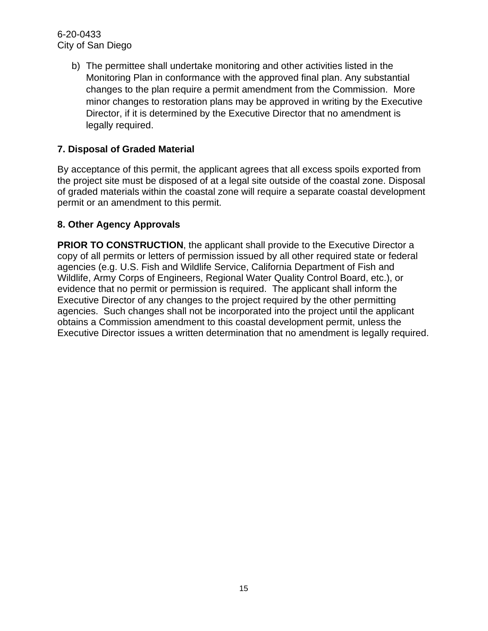> b) The permittee shall undertake monitoring and other activities listed in the Monitoring Plan in conformance with the approved final plan. Any substantial changes to the plan require a permit amendment from the Commission. More minor changes to restoration plans may be approved in writing by the Executive Director, if it is determined by the Executive Director that no amendment is legally required.

### **7. Disposal of Graded Material**

By acceptance of this permit, the applicant agrees that all excess spoils exported from the project site must be disposed of at a legal site outside of the coastal zone. Disposal of graded materials within the coastal zone will require a separate coastal development permit or an amendment to this permit.

#### **8. Other Agency Approvals**

**PRIOR TO CONSTRUCTION, the applicant shall provide to the Executive Director a** copy of all permits or letters of permission issued by all other required state or federal agencies (e.g. U.S. Fish and Wildlife Service, California Department of Fish and Wildlife, Army Corps of Engineers, Regional Water Quality Control Board, etc.), or evidence that no permit or permission is required. The applicant shall inform the Executive Director of any changes to the project required by the other permitting agencies. Such changes shall not be incorporated into the project until the applicant obtains a Commission amendment to this coastal development permit, unless the Executive Director issues a written determination that no amendment is legally required.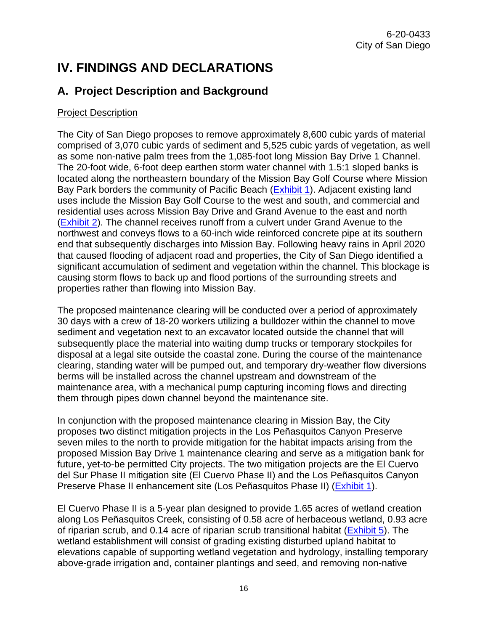# <span id="page-15-0"></span>**IV. FINDINGS AND DECLARATIONS**

# <span id="page-15-1"></span>**A. Project Description and Background**

#### Project Description

The City of San Diego proposes to remove approximately 8,600 cubic yards of material comprised of 3,070 cubic yards of sediment and 5,525 cubic yards of vegetation, as well as some non-native palm trees from the 1,085-foot long Mission Bay Drive 1 Channel. The 20-foot wide, 6-foot deep earthen storm water channel with 1.5:1 sloped banks is located along the northeastern boundary of the Mission Bay Golf Course where Mission Bay Park borders the community of Pacific Beach [\(Exhibit 1\)](https://documents.coastal.ca.gov/reports/2021/1/W30a/W30a-1-2021-exhibits.pdf). Adjacent existing land uses include the Mission Bay Golf Course to the west and south, and commercial and residential uses across Mission Bay Drive and Grand Avenue to the east and north [\(Exhibit 2\)](https://documents.coastal.ca.gov/reports/2021/1/W30a/W30a-1-2021-exhibits.pdf). The channel receives runoff from a culvert under Grand Avenue to the northwest and conveys flows to a 60-inch wide reinforced concrete pipe at its southern end that subsequently discharges into Mission Bay. Following heavy rains in April 2020 that caused flooding of adjacent road and properties, the City of San Diego identified a significant accumulation of sediment and vegetation within the channel. This blockage is causing storm flows to back up and flood portions of the surrounding streets and properties rather than flowing into Mission Bay.

The proposed maintenance clearing will be conducted over a period of approximately 30 days with a crew of 18-20 workers utilizing a bulldozer within the channel to move sediment and vegetation next to an excavator located outside the channel that will subsequently place the material into waiting dump trucks or temporary stockpiles for disposal at a legal site outside the coastal zone. During the course of the maintenance clearing, standing water will be pumped out, and temporary dry-weather flow diversions berms will be installed across the channel upstream and downstream of the maintenance area, with a mechanical pump capturing incoming flows and directing them through pipes down channel beyond the maintenance site.

In conjunction with the proposed maintenance clearing in Mission Bay, the City proposes two distinct mitigation projects in the Los Peñasquitos Canyon Preserve seven miles to the north to provide mitigation for the habitat impacts arising from the proposed Mission Bay Drive 1 maintenance clearing and serve as a mitigation bank for future, yet-to-be permitted City projects. The two mitigation projects are the El Cuervo del Sur Phase II mitigation site (El Cuervo Phase II) and the Los Peñasquitos Canyon Preserve Phase II enhancement site (Los Peñasquitos Phase II) [\(Exhibit 1\)](https://documents.coastal.ca.gov/reports/2021/1/W30a/W30a-1-2021-exhibits.pdf).

El Cuervo Phase II is a 5-year plan designed to provide 1.65 acres of wetland creation along Los Peñasquitos Creek, consisting of 0.58 acre of herbaceous wetland, 0.93 acre of riparian scrub, and 0.14 acre of riparian scrub transitional habitat [\(Exhibit 5\)](https://documents.coastal.ca.gov/reports/2021/1/W30a/W30a-1-2021-exhibits.pdf). The wetland establishment will consist of grading existing disturbed upland habitat to elevations capable of supporting wetland vegetation and hydrology, installing temporary above-grade irrigation and, container plantings and seed, and removing non-native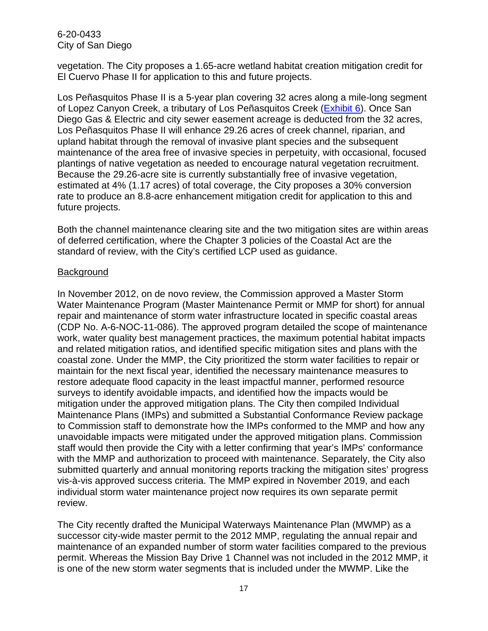vegetation. The City proposes a 1.65-acre wetland habitat creation mitigation credit for El Cuervo Phase II for application to this and future projects.

Los Peñasquitos Phase II is a 5-year plan covering 32 acres along a mile-long segment of Lopez Canyon Creek, a tributary of Los Peñasquitos Creek [\(Exhibit 6\)](https://documents.coastal.ca.gov/reports/2021/1/W30a/W30a-1-2021-exhibits.pdf). Once San Diego Gas & Electric and city sewer easement acreage is deducted from the 32 acres, Los Peñasquitos Phase II will enhance 29.26 acres of creek channel, riparian, and upland habitat through the removal of invasive plant species and the subsequent maintenance of the area free of invasive species in perpetuity, with occasional, focused plantings of native vegetation as needed to encourage natural vegetation recruitment. Because the 29.26-acre site is currently substantially free of invasive vegetation, estimated at 4% (1.17 acres) of total coverage, the City proposes a 30% conversion rate to produce an 8.8-acre enhancement mitigation credit for application to this and future projects.

Both the channel maintenance clearing site and the two mitigation sites are within areas of deferred certification, where the Chapter 3 policies of the Coastal Act are the standard of review, with the City's certified LCP used as guidance.

#### Background

In November 2012, on de novo review, the Commission approved a Master Storm Water Maintenance Program (Master Maintenance Permit or MMP for short) for annual repair and maintenance of storm water infrastructure located in specific coastal areas (CDP No. A-6-NOC-11-086). The approved program detailed the scope of maintenance work, water quality best management practices, the maximum potential habitat impacts and related mitigation ratios, and identified specific mitigation sites and plans with the coastal zone. Under the MMP, the City prioritized the storm water facilities to repair or maintain for the next fiscal year, identified the necessary maintenance measures to restore adequate flood capacity in the least impactful manner, performed resource surveys to identify avoidable impacts, and identified how the impacts would be mitigation under the approved mitigation plans. The City then compiled Individual Maintenance Plans (IMPs) and submitted a Substantial Conformance Review package to Commission staff to demonstrate how the IMPs conformed to the MMP and how any unavoidable impacts were mitigated under the approved mitigation plans. Commission staff would then provide the City with a letter confirming that year's IMPs' conformance with the MMP and authorization to proceed with maintenance. Separately, the City also submitted quarterly and annual monitoring reports tracking the mitigation sites' progress vis-à-vis approved success criteria. The MMP expired in November 2019, and each individual storm water maintenance project now requires its own separate permit review.

The City recently drafted the Municipal Waterways Maintenance Plan (MWMP) as a successor city-wide master permit to the 2012 MMP, regulating the annual repair and maintenance of an expanded number of storm water facilities compared to the previous permit. Whereas the Mission Bay Drive 1 Channel was not included in the 2012 MMP, it is one of the new storm water segments that is included under the MWMP. Like the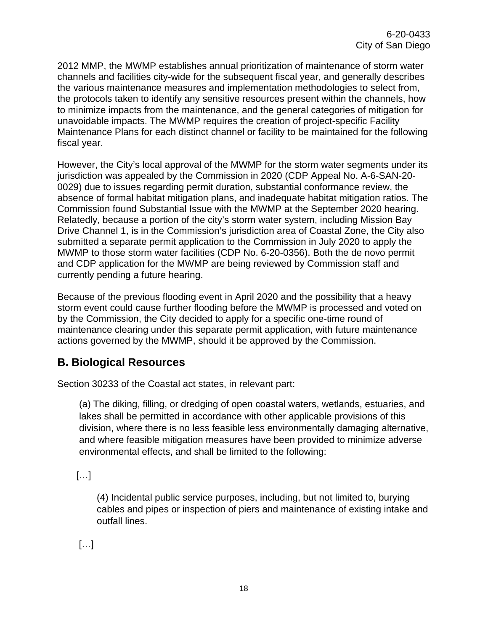2012 MMP, the MWMP establishes annual prioritization of maintenance of storm water channels and facilities city-wide for the subsequent fiscal year, and generally describes the various maintenance measures and implementation methodologies to select from, the protocols taken to identify any sensitive resources present within the channels, how to minimize impacts from the maintenance, and the general categories of mitigation for unavoidable impacts. The MWMP requires the creation of project-specific Facility Maintenance Plans for each distinct channel or facility to be maintained for the following fiscal year.

However, the City's local approval of the MWMP for the storm water segments under its jurisdiction was appealed by the Commission in 2020 (CDP Appeal No. A-6-SAN-20- 0029) due to issues regarding permit duration, substantial conformance review, the absence of formal habitat mitigation plans, and inadequate habitat mitigation ratios. The Commission found Substantial Issue with the MWMP at the September 2020 hearing. Relatedly, because a portion of the city's storm water system, including Mission Bay Drive Channel 1, is in the Commission's jurisdiction area of Coastal Zone, the City also submitted a separate permit application to the Commission in July 2020 to apply the MWMP to those storm water facilities (CDP No. 6-20-0356). Both the de novo permit and CDP application for the MWMP are being reviewed by Commission staff and currently pending a future hearing.

Because of the previous flooding event in April 2020 and the possibility that a heavy storm event could cause further flooding before the MWMP is processed and voted on by the Commission, the City decided to apply for a specific one-time round of maintenance clearing under this separate permit application, with future maintenance actions governed by the MWMP, should it be approved by the Commission.

# <span id="page-17-0"></span>**B. Biological Resources**

Section 30233 of the Coastal act states, in relevant part:

(a) The diking, filling, or dredging of open coastal waters, wetlands, estuaries, and lakes shall be permitted in accordance with other applicable provisions of this division, where there is no less feasible less environmentally damaging alternative, and where feasible mitigation measures have been provided to minimize adverse environmental effects, and shall be limited to the following:

[…]

(4) Incidental public service purposes, including, but not limited to, burying cables and pipes or inspection of piers and maintenance of existing intake and outfall lines.

[…]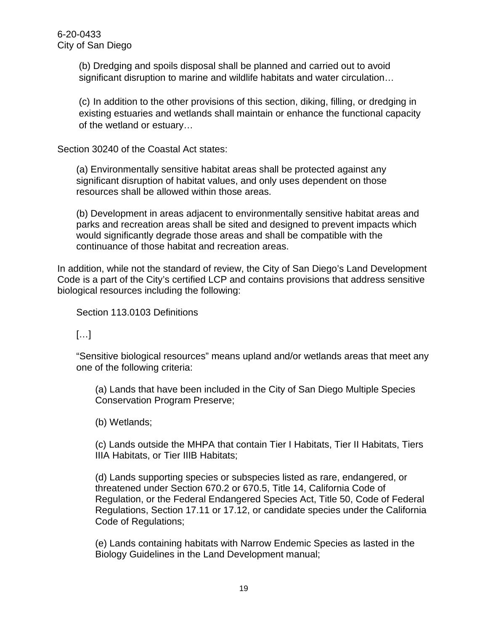(b) Dredging and spoils disposal shall be planned and carried out to avoid significant disruption to marine and wildlife habitats and water circulation…

(c) In addition to the other provisions of this section, diking, filling, or dredging in existing estuaries and wetlands shall maintain or enhance the functional capacity of the wetland or estuary…

Section 30240 of the Coastal Act states:

(a) Environmentally sensitive habitat areas shall be protected against any significant disruption of habitat values, and only uses dependent on those resources shall be allowed within those areas.

(b) Development in areas adjacent to environmentally sensitive habitat areas and parks and recreation areas shall be sited and designed to prevent impacts which would significantly degrade those areas and shall be compatible with the continuance of those habitat and recreation areas.

In addition, while not the standard of review, the City of San Diego's Land Development Code is a part of the City's certified LCP and contains provisions that address sensitive biological resources including the following:

Section 113.0103 Definitions

 $[\ldots]$ 

"Sensitive biological resources" means upland and/or wetlands areas that meet any one of the following criteria:

(a) Lands that have been included in the City of San Diego Multiple Species Conservation Program Preserve;

(b) Wetlands;

(c) Lands outside the MHPA that contain Tier I Habitats, Tier II Habitats, Tiers IIIA Habitats, or Tier IIIB Habitats;

(d) Lands supporting species or subspecies listed as rare, endangered, or threatened under Section 670.2 or 670.5, Title 14, California Code of Regulation, or the Federal Endangered Species Act, Title 50, Code of Federal Regulations, Section 17.11 or 17.12, or candidate species under the California Code of Regulations;

(e) Lands containing habitats with Narrow Endemic Species as lasted in the Biology Guidelines in the Land Development manual;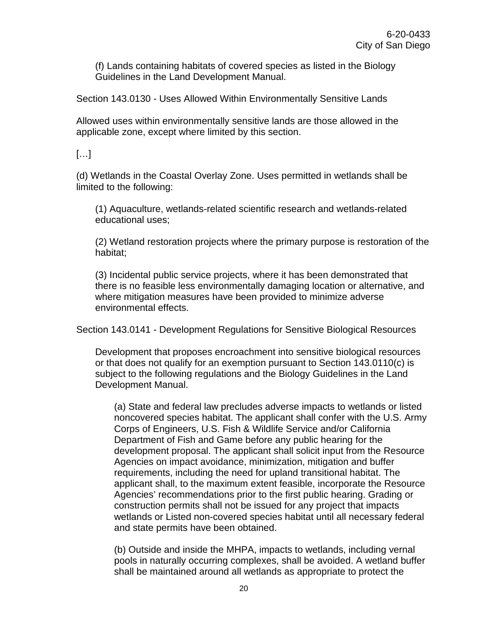(f) Lands containing habitats of covered species as listed in the Biology Guidelines in the Land Development Manual.

Section 143.0130 - Uses Allowed Within Environmentally Sensitive Lands

Allowed uses within environmentally sensitive lands are those allowed in the applicable zone, except where limited by this section.

 $[\ldots]$ 

(d) Wetlands in the Coastal Overlay Zone. Uses permitted in wetlands shall be limited to the following:

(1) Aquaculture, wetlands-related scientific research and wetlands-related educational uses;

(2) Wetland restoration projects where the primary purpose is restoration of the habitat;

(3) Incidental public service projects, where it has been demonstrated that there is no feasible less environmentally damaging location or alternative, and where mitigation measures have been provided to minimize adverse environmental effects.

Section 143.0141 - Development Regulations for Sensitive Biological Resources

Development that proposes encroachment into sensitive biological resources or that does not qualify for an exemption pursuant to Section 143.0110(c) is subject to the following regulations and the Biology Guidelines in the Land Development Manual.

(a) State and federal law precludes adverse impacts to wetlands or listed noncovered species habitat. The applicant shall confer with the U.S. Army Corps of Engineers, U.S. Fish & Wildlife Service and/or California Department of Fish and Game before any public hearing for the development proposal. The applicant shall solicit input from the Resource Agencies on impact avoidance, minimization, mitigation and buffer requirements, including the need for upland transitional habitat. The applicant shall, to the maximum extent feasible, incorporate the Resource Agencies' recommendations prior to the first public hearing. Grading or construction permits shall not be issued for any project that impacts wetlands or Listed non-covered species habitat until all necessary federal and state permits have been obtained.

(b) Outside and inside the MHPA, impacts to wetlands, including vernal pools in naturally occurring complexes, shall be avoided. A wetland buffer shall be maintained around all wetlands as appropriate to protect the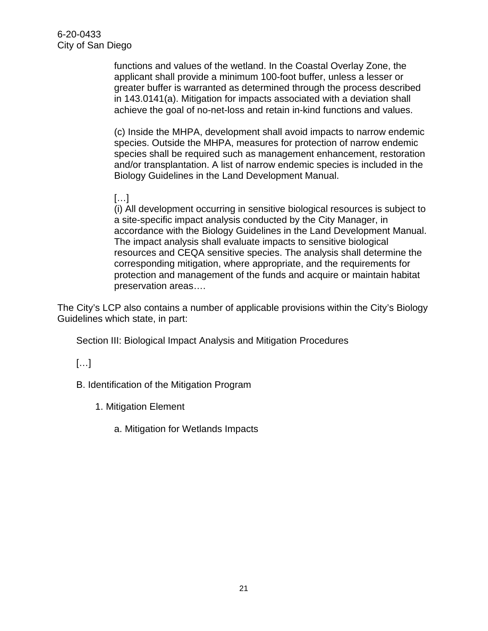functions and values of the wetland. In the Coastal Overlay Zone, the applicant shall provide a minimum 100-foot buffer, unless a lesser or greater buffer is warranted as determined through the process described in 143.0141(a). Mitigation for impacts associated with a deviation shall achieve the goal of no-net-loss and retain in-kind functions and values.

(c) Inside the MHPA, development shall avoid impacts to narrow endemic species. Outside the MHPA, measures for protection of narrow endemic species shall be required such as management enhancement, restoration and/or transplantation. A list of narrow endemic species is included in the Biology Guidelines in the Land Development Manual.

#### […]

(i) All development occurring in sensitive biological resources is subject to a site-specific impact analysis conducted by the City Manager, in accordance with the Biology Guidelines in the Land Development Manual. The impact analysis shall evaluate impacts to sensitive biological resources and CEQA sensitive species. The analysis shall determine the corresponding mitigation, where appropriate, and the requirements for protection and management of the funds and acquire or maintain habitat preservation areas….

The City's LCP also contains a number of applicable provisions within the City's Biology Guidelines which state, in part:

Section III: Biological Impact Analysis and Mitigation Procedures

### […]

B. Identification of the Mitigation Program

1. Mitigation Element

a. Mitigation for Wetlands Impacts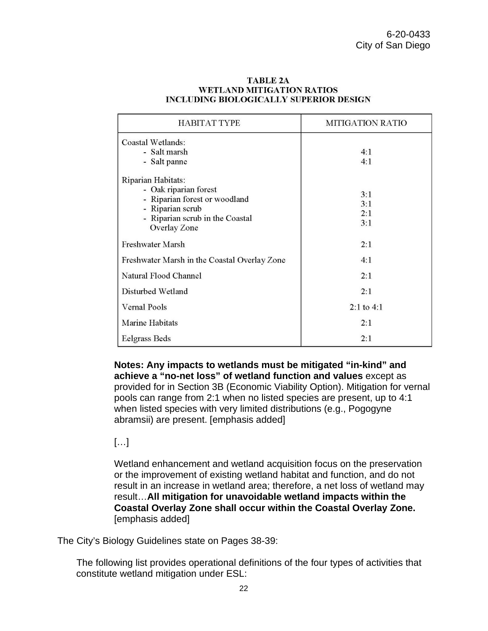| <b>HABITAT TYPE</b>                                                                                                                                 | <b>MITIGATION RATIO</b>  |
|-----------------------------------------------------------------------------------------------------------------------------------------------------|--------------------------|
| Coastal Wetlands:<br>- Salt marsh<br>- Salt panne                                                                                                   | 4:1<br>4:1               |
| Riparian Habitats:<br>- Oak riparian forest<br>- Riparian forest or woodland<br>- Riparian scrub<br>- Riparian scrub in the Coastal<br>Overlay Zone | 3:1<br>3:1<br>2:1<br>3:1 |
| <b>Freshwater Marsh</b>                                                                                                                             | 2:1                      |
| Freshwater Marsh in the Coastal Overlay Zone                                                                                                        | 4:1                      |
| Natural Flood Channel                                                                                                                               | 2:1                      |
| Disturbed Wetland                                                                                                                                   | 2:1                      |
| Vernal Pools                                                                                                                                        | $2:1$ to $4:1$           |
| Marine Habitats                                                                                                                                     | 2:1                      |
| Eelgrass Beds                                                                                                                                       | 2:1                      |

#### **TABLE 2A WETLAND MITIGATION RATIOS INCLUDING BIOLOGICALLY SUPERIOR DESIGN**

**Notes: Any impacts to wetlands must be mitigated "in-kind" and achieve a "no-net loss" of wetland function and values** except as provided for in Section 3B (Economic Viability Option). Mitigation for vernal pools can range from 2:1 when no listed species are present, up to 4:1 when listed species with very limited distributions (e.g., Pogogyne abramsii) are present. [emphasis added]

#### […]

Wetland enhancement and wetland acquisition focus on the preservation or the improvement of existing wetland habitat and function, and do not result in an increase in wetland area; therefore, a net loss of wetland may result…**All mitigation for unavoidable wetland impacts within the Coastal Overlay Zone shall occur within the Coastal Overlay Zone.** [emphasis added]

The City's Biology Guidelines state on Pages 38-39:

The following list provides operational definitions of the four types of activities that constitute wetland mitigation under ESL: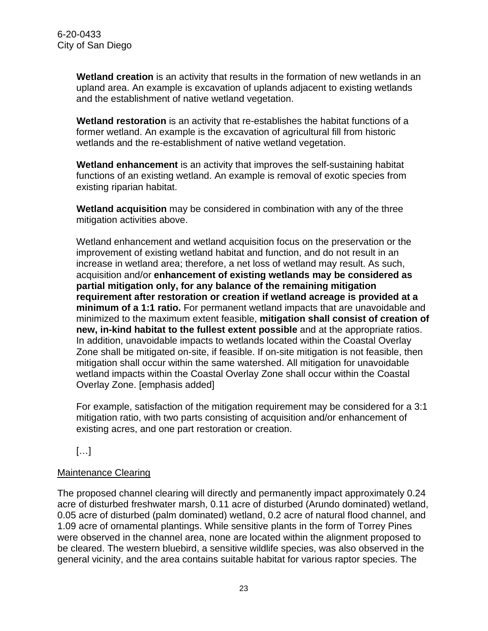**Wetland creation** is an activity that results in the formation of new wetlands in an upland area. An example is excavation of uplands adjacent to existing wetlands and the establishment of native wetland vegetation.

**Wetland restoration** is an activity that re-establishes the habitat functions of a former wetland. An example is the excavation of agricultural fill from historic wetlands and the re-establishment of native wetland vegetation.

**Wetland enhancement** is an activity that improves the self-sustaining habitat functions of an existing wetland. An example is removal of exotic species from existing riparian habitat.

**Wetland acquisition** may be considered in combination with any of the three mitigation activities above.

Wetland enhancement and wetland acquisition focus on the preservation or the improvement of existing wetland habitat and function, and do not result in an increase in wetland area; therefore, a net loss of wetland may result. As such, acquisition and/or **enhancement of existing wetlands may be considered as partial mitigation only, for any balance of the remaining mitigation requirement after restoration or creation if wetland acreage is provided at a minimum of a 1:1 ratio.** For permanent wetland impacts that are unavoidable and minimized to the maximum extent feasible, **mitigation shall consist of creation of new, in-kind habitat to the fullest extent possible** and at the appropriate ratios. In addition, unavoidable impacts to wetlands located within the Coastal Overlay Zone shall be mitigated on-site, if feasible. If on-site mitigation is not feasible, then mitigation shall occur within the same watershed. All mitigation for unavoidable wetland impacts within the Coastal Overlay Zone shall occur within the Coastal Overlay Zone. [emphasis added]

For example, satisfaction of the mitigation requirement may be considered for a 3:1 mitigation ratio, with two parts consisting of acquisition and/or enhancement of existing acres, and one part restoration or creation.

[…]

#### Maintenance Clearing

The proposed channel clearing will directly and permanently impact approximately 0.24 acre of disturbed freshwater marsh, 0.11 acre of disturbed (Arundo dominated) wetland, 0.05 acre of disturbed (palm dominated) wetland, 0.2 acre of natural flood channel, and 1.09 acre of ornamental plantings. While sensitive plants in the form of Torrey Pines were observed in the channel area, none are located within the alignment proposed to be cleared. The western bluebird, a sensitive wildlife species, was also observed in the general vicinity, and the area contains suitable habitat for various raptor species. The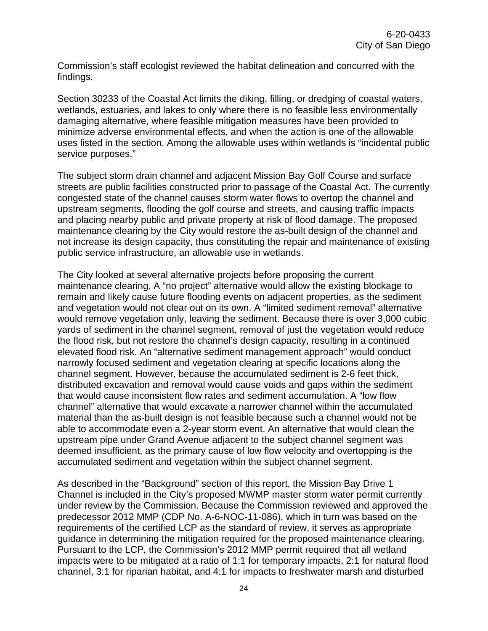Commission's staff ecologist reviewed the habitat delineation and concurred with the findings.

Section 30233 of the Coastal Act limits the diking, filling, or dredging of coastal waters, wetlands, estuaries, and lakes to only where there is no feasible less environmentally damaging alternative, where feasible mitigation measures have been provided to minimize adverse environmental effects, and when the action is one of the allowable uses listed in the section. Among the allowable uses within wetlands is "incidental public service purposes."

The subject storm drain channel and adjacent Mission Bay Golf Course and surface streets are public facilities constructed prior to passage of the Coastal Act. The currently congested state of the channel causes storm water flows to overtop the channel and upstream segments, flooding the golf course and streets, and causing traffic impacts and placing nearby public and private property at risk of flood damage. The proposed maintenance clearing by the City would restore the as-built design of the channel and not increase its design capacity, thus constituting the repair and maintenance of existing public service infrastructure, an allowable use in wetlands.

The City looked at several alternative projects before proposing the current maintenance clearing. A "no project" alternative would allow the existing blockage to remain and likely cause future flooding events on adjacent properties, as the sediment and vegetation would not clear out on its own. A "limited sediment removal" alternative would remove vegetation only, leaving the sediment. Because there is over 3,000 cubic yards of sediment in the channel segment, removal of just the vegetation would reduce the flood risk, but not restore the channel's design capacity, resulting in a continued elevated flood risk. An "alternative sediment management approach" would conduct narrowly focused sediment and vegetation clearing at specific locations along the channel segment. However, because the accumulated sediment is 2-6 feet thick, distributed excavation and removal would cause voids and gaps within the sediment that would cause inconsistent flow rates and sediment accumulation. A "low flow channel" alternative that would excavate a narrower channel within the accumulated material than the as-built design is not feasible because such a channel would not be able to accommodate even a 2-year storm event. An alternative that would clean the upstream pipe under Grand Avenue adjacent to the subject channel segment was deemed insufficient, as the primary cause of low flow velocity and overtopping is the accumulated sediment and vegetation within the subject channel segment.

As described in the "Background" section of this report, the Mission Bay Drive 1 Channel is included in the City's proposed MWMP master storm water permit currently under review by the Commission. Because the Commission reviewed and approved the predecessor 2012 MMP (CDP No. A-6-NOC-11-086), which in turn was based on the requirements of the certified LCP as the standard of review, it serves as appropriate guidance in determining the mitigation required for the proposed maintenance clearing. Pursuant to the LCP, the Commission's 2012 MMP permit required that all wetland impacts were to be mitigated at a ratio of 1:1 for temporary impacts, 2:1 for natural flood channel, 3:1 for riparian habitat, and 4:1 for impacts to freshwater marsh and disturbed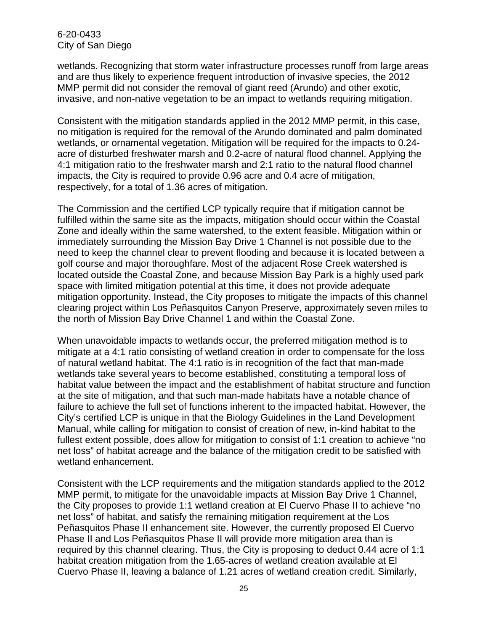wetlands. Recognizing that storm water infrastructure processes runoff from large areas and are thus likely to experience frequent introduction of invasive species, the 2012 MMP permit did not consider the removal of giant reed (Arundo) and other exotic, invasive, and non-native vegetation to be an impact to wetlands requiring mitigation.

Consistent with the mitigation standards applied in the 2012 MMP permit, in this case, no mitigation is required for the removal of the Arundo dominated and palm dominated wetlands, or ornamental vegetation. Mitigation will be required for the impacts to 0.24 acre of disturbed freshwater marsh and 0.2-acre of natural flood channel. Applying the 4:1 mitigation ratio to the freshwater marsh and 2:1 ratio to the natural flood channel impacts, the City is required to provide 0.96 acre and 0.4 acre of mitigation, respectively, for a total of 1.36 acres of mitigation.

The Commission and the certified LCP typically require that if mitigation cannot be fulfilled within the same site as the impacts, mitigation should occur within the Coastal Zone and ideally within the same watershed, to the extent feasible. Mitigation within or immediately surrounding the Mission Bay Drive 1 Channel is not possible due to the need to keep the channel clear to prevent flooding and because it is located between a golf course and major thoroughfare. Most of the adjacent Rose Creek watershed is located outside the Coastal Zone, and because Mission Bay Park is a highly used park space with limited mitigation potential at this time, it does not provide adequate mitigation opportunity. Instead, the City proposes to mitigate the impacts of this channel clearing project within Los Peñasquitos Canyon Preserve, approximately seven miles to the north of Mission Bay Drive Channel 1 and within the Coastal Zone.

When unavoidable impacts to wetlands occur, the preferred mitigation method is to mitigate at a 4:1 ratio consisting of wetland creation in order to compensate for the loss of natural wetland habitat. The 4:1 ratio is in recognition of the fact that man-made wetlands take several years to become established, constituting a temporal loss of habitat value between the impact and the establishment of habitat structure and function at the site of mitigation, and that such man-made habitats have a notable chance of failure to achieve the full set of functions inherent to the impacted habitat. However, the City's certified LCP is unique in that the Biology Guidelines in the Land Development Manual, while calling for mitigation to consist of creation of new, in-kind habitat to the fullest extent possible, does allow for mitigation to consist of 1:1 creation to achieve "no net loss" of habitat acreage and the balance of the mitigation credit to be satisfied with wetland enhancement.

Consistent with the LCP requirements and the mitigation standards applied to the 2012 MMP permit, to mitigate for the unavoidable impacts at Mission Bay Drive 1 Channel, the City proposes to provide 1:1 wetland creation at El Cuervo Phase II to achieve "no net loss" of habitat, and satisfy the remaining mitigation requirement at the Los Peñasquitos Phase II enhancement site. However, the currently proposed El Cuervo Phase II and Los Peñasquitos Phase II will provide more mitigation area than is required by this channel clearing. Thus, the City is proposing to deduct 0.44 acre of 1:1 habitat creation mitigation from the 1.65-acres of wetland creation available at El Cuervo Phase II, leaving a balance of 1.21 acres of wetland creation credit. Similarly,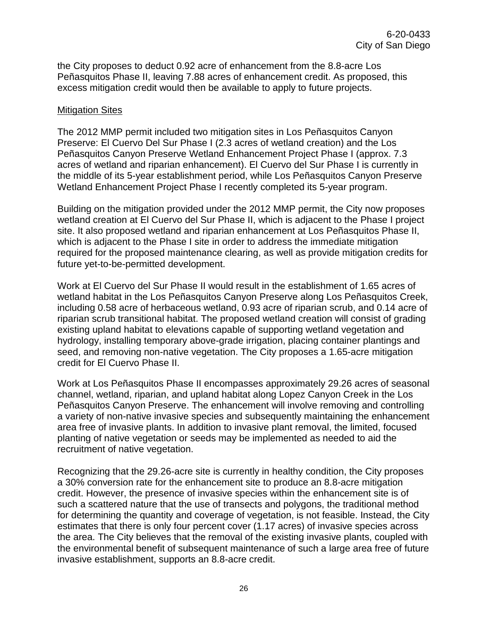the City proposes to deduct 0.92 acre of enhancement from the 8.8-acre Los Peñasquitos Phase II, leaving 7.88 acres of enhancement credit. As proposed, this excess mitigation credit would then be available to apply to future projects.

#### Mitigation Sites

The 2012 MMP permit included two mitigation sites in Los Peñasquitos Canyon Preserve: El Cuervo Del Sur Phase I (2.3 acres of wetland creation) and the Los Peñasquitos Canyon Preserve Wetland Enhancement Project Phase I (approx. 7.3 acres of wetland and riparian enhancement). El Cuervo del Sur Phase I is currently in the middle of its 5-year establishment period, while Los Peñasquitos Canyon Preserve Wetland Enhancement Project Phase I recently completed its 5-year program.

Building on the mitigation provided under the 2012 MMP permit, the City now proposes wetland creation at El Cuervo del Sur Phase II, which is adjacent to the Phase I project site. It also proposed wetland and riparian enhancement at Los Peñasquitos Phase II, which is adjacent to the Phase I site in order to address the immediate mitigation required for the proposed maintenance clearing, as well as provide mitigation credits for future yet-to-be-permitted development.

Work at El Cuervo del Sur Phase II would result in the establishment of 1.65 acres of wetland habitat in the Los Peñasquitos Canyon Preserve along Los Peñasquitos Creek, including 0.58 acre of herbaceous wetland, 0.93 acre of riparian scrub, and 0.14 acre of riparian scrub transitional habitat. The proposed wetland creation will consist of grading existing upland habitat to elevations capable of supporting wetland vegetation and hydrology, installing temporary above-grade irrigation, placing container plantings and seed, and removing non-native vegetation. The City proposes a 1.65-acre mitigation credit for El Cuervo Phase II.

Work at Los Peñasquitos Phase II encompasses approximately 29.26 acres of seasonal channel, wetland, riparian, and upland habitat along Lopez Canyon Creek in the Los Peñasquitos Canyon Preserve. The enhancement will involve removing and controlling a variety of non-native invasive species and subsequently maintaining the enhancement area free of invasive plants. In addition to invasive plant removal, the limited, focused planting of native vegetation or seeds may be implemented as needed to aid the recruitment of native vegetation.

Recognizing that the 29.26-acre site is currently in healthy condition, the City proposes a 30% conversion rate for the enhancement site to produce an 8.8-acre mitigation credit. However, the presence of invasive species within the enhancement site is of such a scattered nature that the use of transects and polygons, the traditional method for determining the quantity and coverage of vegetation, is not feasible. Instead, the City estimates that there is only four percent cover (1.17 acres) of invasive species across the area. The City believes that the removal of the existing invasive plants, coupled with the environmental benefit of subsequent maintenance of such a large area free of future invasive establishment, supports an 8.8-acre credit.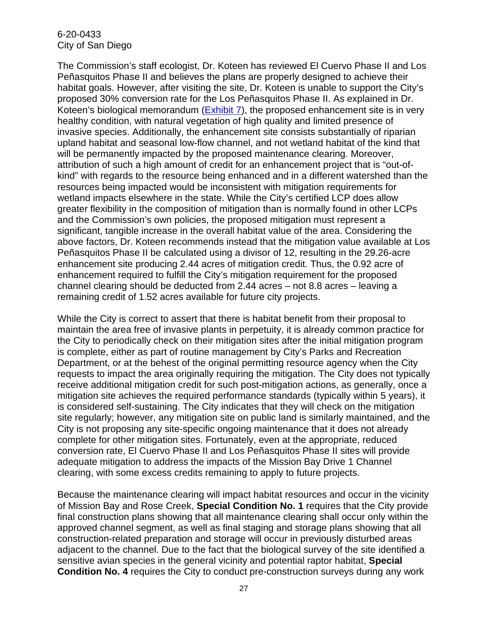The Commission's staff ecologist, Dr. Koteen has reviewed El Cuervo Phase II and Los Peñasquitos Phase II and believes the plans are properly designed to achieve their habitat goals. However, after visiting the site, Dr. Koteen is unable to support the City's proposed 30% conversion rate for the Los Peñasquitos Phase II. As explained in Dr. Koteen's biological memorandum [\(Exhibit 7\)](https://documents.coastal.ca.gov/reports/2021/1/W30a/W30a-1-2021-exhibits.pdf), the proposed enhancement site is in very healthy condition, with natural vegetation of high quality and limited presence of invasive species. Additionally, the enhancement site consists substantially of riparian upland habitat and seasonal low-flow channel, and not wetland habitat of the kind that will be permanently impacted by the proposed maintenance clearing. Moreover, attribution of such a high amount of credit for an enhancement project that is "out-ofkind" with regards to the resource being enhanced and in a different watershed than the resources being impacted would be inconsistent with mitigation requirements for wetland impacts elsewhere in the state. While the City's certified LCP does allow greater flexibility in the composition of mitigation than is normally found in other LCPs and the Commission's own policies, the proposed mitigation must represent a significant, tangible increase in the overall habitat value of the area. Considering the above factors, Dr. Koteen recommends instead that the mitigation value available at Los Peñasquitos Phase II be calculated using a divisor of 12, resulting in the 29.26-acre enhancement site producing 2.44 acres of mitigation credit. Thus, the 0.92 acre of enhancement required to fulfill the City's mitigation requirement for the proposed channel clearing should be deducted from 2.44 acres – not 8.8 acres – leaving a remaining credit of 1.52 acres available for future city projects.

While the City is correct to assert that there is habitat benefit from their proposal to maintain the area free of invasive plants in perpetuity, it is already common practice for the City to periodically check on their mitigation sites after the initial mitigation program is complete, either as part of routine management by City's Parks and Recreation Department, or at the behest of the original permitting resource agency when the City requests to impact the area originally requiring the mitigation. The City does not typically receive additional mitigation credit for such post-mitigation actions, as generally, once a mitigation site achieves the required performance standards (typically within 5 years), it is considered self-sustaining. The City indicates that they will check on the mitigation site regularly; however, any mitigation site on public land is similarly maintained, and the City is not proposing any site-specific ongoing maintenance that it does not already complete for other mitigation sites. Fortunately, even at the appropriate, reduced conversion rate, El Cuervo Phase II and Los Peñasquitos Phase II sites will provide adequate mitigation to address the impacts of the Mission Bay Drive 1 Channel clearing, with some excess credits remaining to apply to future projects.

Because the maintenance clearing will impact habitat resources and occur in the vicinity of Mission Bay and Rose Creek, **Special Condition No. 1** requires that the City provide final construction plans showing that all maintenance clearing shall occur only within the approved channel segment, as well as final staging and storage plans showing that all construction-related preparation and storage will occur in previously disturbed areas adjacent to the channel. Due to the fact that the biological survey of the site identified a sensitive avian species in the general vicinity and potential raptor habitat, **Special Condition No. 4** requires the City to conduct pre-construction surveys during any work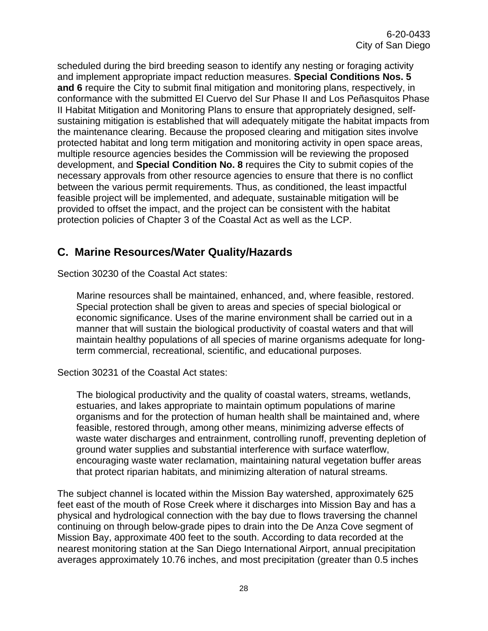scheduled during the bird breeding season to identify any nesting or foraging activity and implement appropriate impact reduction measures. **Special Conditions Nos. 5 and 6** require the City to submit final mitigation and monitoring plans, respectively, in conformance with the submitted El Cuervo del Sur Phase II and Los Peñasquitos Phase II Habitat Mitigation and Monitoring Plans to ensure that appropriately designed, selfsustaining mitigation is established that will adequately mitigate the habitat impacts from the maintenance clearing. Because the proposed clearing and mitigation sites involve protected habitat and long term mitigation and monitoring activity in open space areas, multiple resource agencies besides the Commission will be reviewing the proposed development, and **Special Condition No. 8** requires the City to submit copies of the necessary approvals from other resource agencies to ensure that there is no conflict between the various permit requirements. Thus, as conditioned, the least impactful feasible project will be implemented, and adequate, sustainable mitigation will be provided to offset the impact, and the project can be consistent with the habitat protection policies of Chapter 3 of the Coastal Act as well as the LCP.

### <span id="page-27-0"></span>**C. Marine Resources/Water Quality/Hazards**

Section 30230 of the Coastal Act states:

Marine resources shall be maintained, enhanced, and, where feasible, restored. Special protection shall be given to areas and species of special biological or economic significance. Uses of the marine environment shall be carried out in a manner that will sustain the biological productivity of coastal waters and that will maintain healthy populations of all species of marine organisms adequate for longterm commercial, recreational, scientific, and educational purposes.

Section 30231 of the Coastal Act states:

The biological productivity and the quality of coastal waters, streams, wetlands, estuaries, and lakes appropriate to maintain optimum populations of marine organisms and for the protection of human health shall be maintained and, where feasible, restored through, among other means, minimizing adverse effects of waste water discharges and entrainment, controlling runoff, preventing depletion of ground water supplies and substantial interference with surface waterflow, encouraging waste water reclamation, maintaining natural vegetation buffer areas that protect riparian habitats, and minimizing alteration of natural streams.

The subject channel is located within the Mission Bay watershed, approximately 625 feet east of the mouth of Rose Creek where it discharges into Mission Bay and has a physical and hydrological connection with the bay due to flows traversing the channel continuing on through below-grade pipes to drain into the De Anza Cove segment of Mission Bay, approximate 400 feet to the south. According to data recorded at the nearest monitoring station at the San Diego International Airport, annual precipitation averages approximately 10.76 inches, and most precipitation (greater than 0.5 inches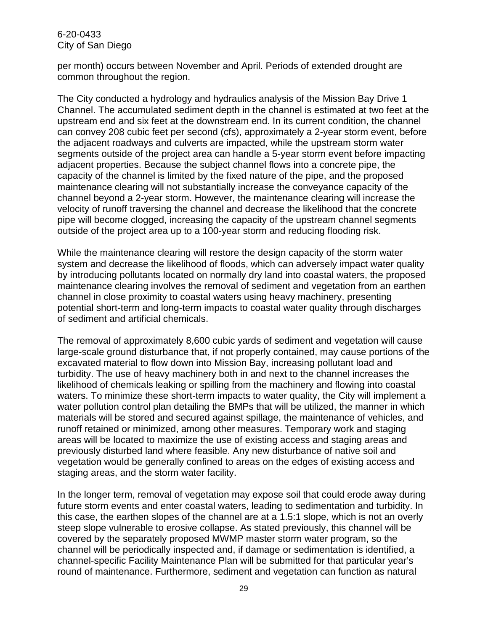per month) occurs between November and April. Periods of extended drought are common throughout the region.

The City conducted a hydrology and hydraulics analysis of the Mission Bay Drive 1 Channel. The accumulated sediment depth in the channel is estimated at two feet at the upstream end and six feet at the downstream end. In its current condition, the channel can convey 208 cubic feet per second (cfs), approximately a 2-year storm event, before the adjacent roadways and culverts are impacted, while the upstream storm water segments outside of the project area can handle a 5-year storm event before impacting adjacent properties. Because the subject channel flows into a concrete pipe, the capacity of the channel is limited by the fixed nature of the pipe, and the proposed maintenance clearing will not substantially increase the conveyance capacity of the channel beyond a 2-year storm. However, the maintenance clearing will increase the velocity of runoff traversing the channel and decrease the likelihood that the concrete pipe will become clogged, increasing the capacity of the upstream channel segments outside of the project area up to a 100-year storm and reducing flooding risk.

While the maintenance clearing will restore the design capacity of the storm water system and decrease the likelihood of floods, which can adversely impact water quality by introducing pollutants located on normally dry land into coastal waters, the proposed maintenance clearing involves the removal of sediment and vegetation from an earthen channel in close proximity to coastal waters using heavy machinery, presenting potential short-term and long-term impacts to coastal water quality through discharges of sediment and artificial chemicals.

The removal of approximately 8,600 cubic yards of sediment and vegetation will cause large-scale ground disturbance that, if not properly contained, may cause portions of the excavated material to flow down into Mission Bay, increasing pollutant load and turbidity. The use of heavy machinery both in and next to the channel increases the likelihood of chemicals leaking or spilling from the machinery and flowing into coastal waters. To minimize these short-term impacts to water quality, the City will implement a water pollution control plan detailing the BMPs that will be utilized, the manner in which materials will be stored and secured against spillage, the maintenance of vehicles, and runoff retained or minimized, among other measures. Temporary work and staging areas will be located to maximize the use of existing access and staging areas and previously disturbed land where feasible. Any new disturbance of native soil and vegetation would be generally confined to areas on the edges of existing access and staging areas, and the storm water facility.

In the longer term, removal of vegetation may expose soil that could erode away during future storm events and enter coastal waters, leading to sedimentation and turbidity. In this case, the earthen slopes of the channel are at a 1.5:1 slope, which is not an overly steep slope vulnerable to erosive collapse. As stated previously, this channel will be covered by the separately proposed MWMP master storm water program, so the channel will be periodically inspected and, if damage or sedimentation is identified, a channel-specific Facility Maintenance Plan will be submitted for that particular year's round of maintenance. Furthermore, sediment and vegetation can function as natural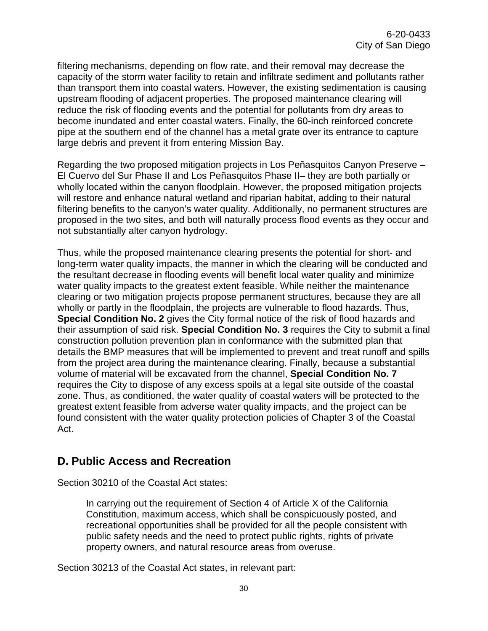filtering mechanisms, depending on flow rate, and their removal may decrease the capacity of the storm water facility to retain and infiltrate sediment and pollutants rather than transport them into coastal waters. However, the existing sedimentation is causing upstream flooding of adjacent properties. The proposed maintenance clearing will reduce the risk of flooding events and the potential for pollutants from dry areas to become inundated and enter coastal waters. Finally, the 60-inch reinforced concrete pipe at the southern end of the channel has a metal grate over its entrance to capture large debris and prevent it from entering Mission Bay.

Regarding the two proposed mitigation projects in Los Peñasquitos Canyon Preserve – El Cuervo del Sur Phase II and Los Peñasquitos Phase II– they are both partially or wholly located within the canyon floodplain. However, the proposed mitigation projects will restore and enhance natural wetland and riparian habitat, adding to their natural filtering benefits to the canyon's water quality. Additionally, no permanent structures are proposed in the two sites, and both will naturally process flood events as they occur and not substantially alter canyon hydrology.

Thus, while the proposed maintenance clearing presents the potential for short- and long-term water quality impacts, the manner in which the clearing will be conducted and the resultant decrease in flooding events will benefit local water quality and minimize water quality impacts to the greatest extent feasible. While neither the maintenance clearing or two mitigation projects propose permanent structures, because they are all wholly or partly in the floodplain, the projects are vulnerable to flood hazards. Thus, **Special Condition No. 2** gives the City formal notice of the risk of flood hazards and their assumption of said risk. **Special Condition No. 3** requires the City to submit a final construction pollution prevention plan in conformance with the submitted plan that details the BMP measures that will be implemented to prevent and treat runoff and spills from the project area during the maintenance clearing. Finally, because a substantial volume of material will be excavated from the channel, **Special Condition No. 7** requires the City to dispose of any excess spoils at a legal site outside of the coastal zone. Thus, as conditioned, the water quality of coastal waters will be protected to the greatest extent feasible from adverse water quality impacts, and the project can be found consistent with the water quality protection policies of Chapter 3 of the Coastal Act.

### <span id="page-29-0"></span>**D. Public Access and Recreation**

Section 30210 of the Coastal Act states:

In carrying out the requirement of Section 4 of Article X of the California Constitution, maximum access, which shall be conspicuously posted, and recreational opportunities shall be provided for all the people consistent with public safety needs and the need to protect public rights, rights of private property owners, and natural resource areas from overuse.

Section 30213 of the Coastal Act states, in relevant part: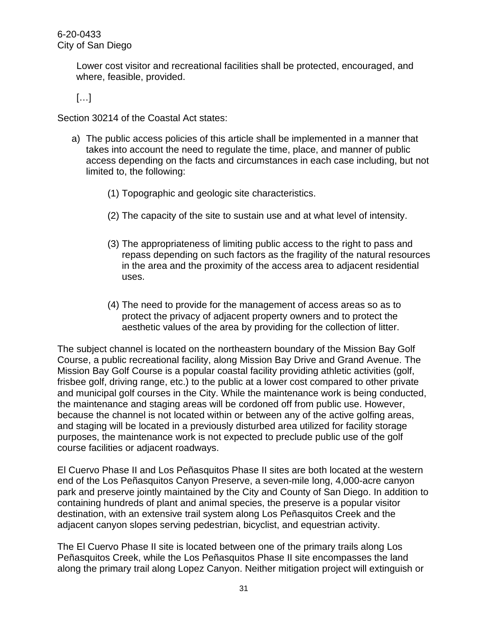Lower cost visitor and recreational facilities shall be protected, encouraged, and where, feasible, provided.

 $[\ldots]$ 

Section 30214 of the Coastal Act states:

- a) The public access policies of this article shall be implemented in a manner that takes into account the need to regulate the time, place, and manner of public access depending on the facts and circumstances in each case including, but not limited to, the following:
	- (1) Topographic and geologic site characteristics.
	- (2) The capacity of the site to sustain use and at what level of intensity.
	- (3) The appropriateness of limiting public access to the right to pass and repass depending on such factors as the fragility of the natural resources in the area and the proximity of the access area to adjacent residential uses.
	- (4) The need to provide for the management of access areas so as to protect the privacy of adjacent property owners and to protect the aesthetic values of the area by providing for the collection of litter.

The subject channel is located on the northeastern boundary of the Mission Bay Golf Course, a public recreational facility, along Mission Bay Drive and Grand Avenue. The Mission Bay Golf Course is a popular coastal facility providing athletic activities (golf, frisbee golf, driving range, etc.) to the public at a lower cost compared to other private and municipal golf courses in the City. While the maintenance work is being conducted, the maintenance and staging areas will be cordoned off from public use. However, because the channel is not located within or between any of the active golfing areas, and staging will be located in a previously disturbed area utilized for facility storage purposes, the maintenance work is not expected to preclude public use of the golf course facilities or adjacent roadways.

El Cuervo Phase II and Los Peñasquitos Phase II sites are both located at the western end of the Los Peñasquitos Canyon Preserve, a seven-mile long, 4,000-acre canyon park and preserve jointly maintained by the City and County of San Diego. In addition to containing hundreds of plant and animal species, the preserve is a popular visitor destination, with an extensive trail system along Los Peñasquitos Creek and the adjacent canyon slopes serving pedestrian, bicyclist, and equestrian activity.

The El Cuervo Phase II site is located between one of the primary trails along Los Peñasquitos Creek, while the Los Peñasquitos Phase II site encompasses the land along the primary trail along Lopez Canyon. Neither mitigation project will extinguish or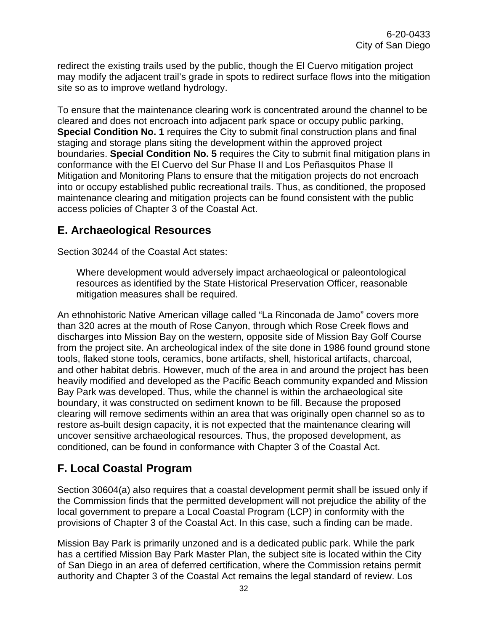redirect the existing trails used by the public, though the El Cuervo mitigation project may modify the adjacent trail's grade in spots to redirect surface flows into the mitigation site so as to improve wetland hydrology.

To ensure that the maintenance clearing work is concentrated around the channel to be cleared and does not encroach into adjacent park space or occupy public parking, **Special Condition No. 1** requires the City to submit final construction plans and final staging and storage plans siting the development within the approved project boundaries. **Special Condition No. 5** requires the City to submit final mitigation plans in conformance with the El Cuervo del Sur Phase II and Los Peñasquitos Phase II Mitigation and Monitoring Plans to ensure that the mitigation projects do not encroach into or occupy established public recreational trails. Thus, as conditioned, the proposed maintenance clearing and mitigation projects can be found consistent with the public access policies of Chapter 3 of the Coastal Act.

### <span id="page-31-0"></span>**E. Archaeological Resources**

Section 30244 of the Coastal Act states:

Where development would adversely impact archaeological or paleontological resources as identified by the State Historical Preservation Officer, reasonable mitigation measures shall be required.

An ethnohistoric Native American village called "La Rinconada de Jamo" covers more than 320 acres at the mouth of Rose Canyon, through which Rose Creek flows and discharges into Mission Bay on the western, opposite side of Mission Bay Golf Course from the project site. An archeological index of the site done in 1986 found ground stone tools, flaked stone tools, ceramics, bone artifacts, shell, historical artifacts, charcoal, and other habitat debris. However, much of the area in and around the project has been heavily modified and developed as the Pacific Beach community expanded and Mission Bay Park was developed. Thus, while the channel is within the archaeological site boundary, it was constructed on sediment known to be fill. Because the proposed clearing will remove sediments within an area that was originally open channel so as to restore as-built design capacity, it is not expected that the maintenance clearing will uncover sensitive archaeological resources. Thus, the proposed development, as conditioned, can be found in conformance with Chapter 3 of the Coastal Act.

# <span id="page-31-1"></span>**F. Local Coastal Program**

Section 30604(a) also requires that a coastal development permit shall be issued only if the Commission finds that the permitted development will not prejudice the ability of the local government to prepare a Local Coastal Program (LCP) in conformity with the provisions of Chapter 3 of the Coastal Act. In this case, such a finding can be made.

Mission Bay Park is primarily unzoned and is a dedicated public park. While the park has a certified Mission Bay Park Master Plan, the subject site is located within the City of San Diego in an area of deferred certification, where the Commission retains permit authority and Chapter 3 of the Coastal Act remains the legal standard of review. Los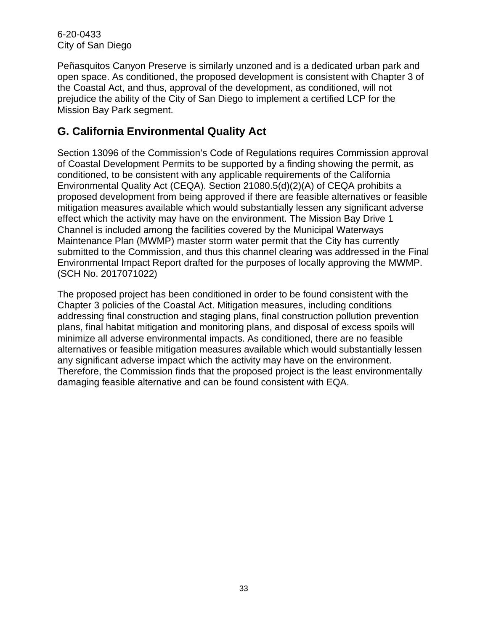Peñasquitos Canyon Preserve is similarly unzoned and is a dedicated urban park and open space. As conditioned, the proposed development is consistent with Chapter 3 of the Coastal Act, and thus, approval of the development, as conditioned, will not prejudice the ability of the City of San Diego to implement a certified LCP for the Mission Bay Park segment.

### <span id="page-32-0"></span>**G. California Environmental Quality Act**

Section 13096 of the Commission's Code of Regulations requires Commission approval of Coastal Development Permits to be supported by a finding showing the permit, as conditioned, to be consistent with any applicable requirements of the California Environmental Quality Act (CEQA). Section 21080.5(d)(2)(A) of CEQA prohibits a proposed development from being approved if there are feasible alternatives or feasible mitigation measures available which would substantially lessen any significant adverse effect which the activity may have on the environment. The Mission Bay Drive 1 Channel is included among the facilities covered by the Municipal Waterways Maintenance Plan (MWMP) master storm water permit that the City has currently submitted to the Commission, and thus this channel clearing was addressed in the Final Environmental Impact Report drafted for the purposes of locally approving the MWMP. (SCH No. 2017071022)

The proposed project has been conditioned in order to be found consistent with the Chapter 3 policies of the Coastal Act. Mitigation measures, including conditions addressing final construction and staging plans, final construction pollution prevention plans, final habitat mitigation and monitoring plans, and disposal of excess spoils will minimize all adverse environmental impacts. As conditioned, there are no feasible alternatives or feasible mitigation measures available which would substantially lessen any significant adverse impact which the activity may have on the environment. Therefore, the Commission finds that the proposed project is the least environmentally damaging feasible alternative and can be found consistent with EQA.